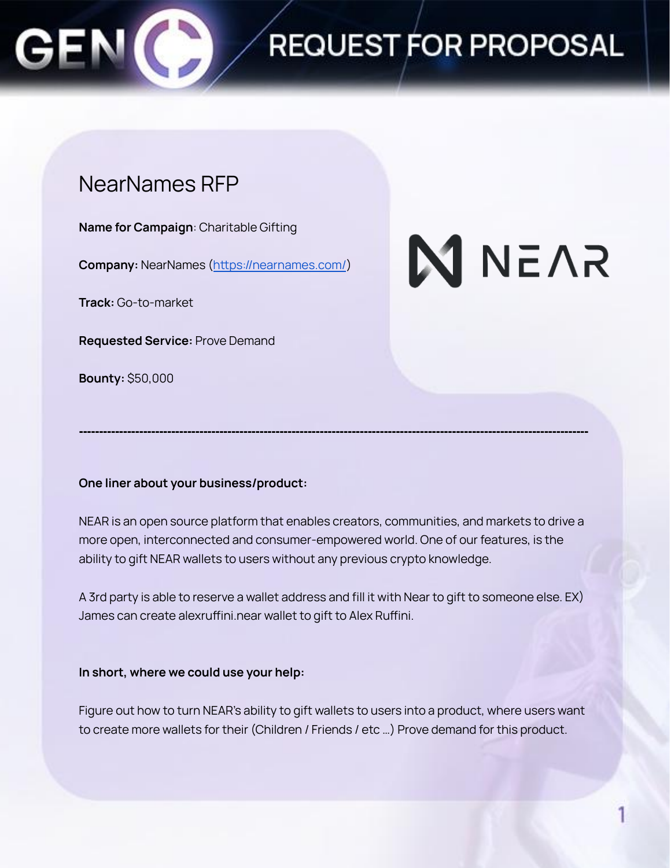

## REQUEST FOR PROPOSAL

### NearNames RFP

**Name for Campaign**: Charitable Gifting

**Company:** NearNames (<https://nearnames.com/>)

**Track:** Go-to-market

**Requested Service:** Prove Demand

**Bounty:** \$50,000

# **N** NEAR

#### **One liner about your business/product:**

NEAR is an open source platform that enables creators, communities, and markets to drive a more open, interconnected and consumer-empowered world. One of our features, is the ability to gift NEAR wallets to users without any previous crypto knowledge.

**-------------------------------------------------------------------------------------------------------------------------------**

A 3rd party is able to reserve a wallet address and fill it with Near to gift to someone else. EX) James can create alexruffini.near wallet to gift to Alex Ruffini.

#### **In short, where we could use your help:**

Figure out how to turn NEAR's ability to gift wallets to users into a product, where users want to create more wallets for their (Children / Friends / etc …) Prove demand for this product.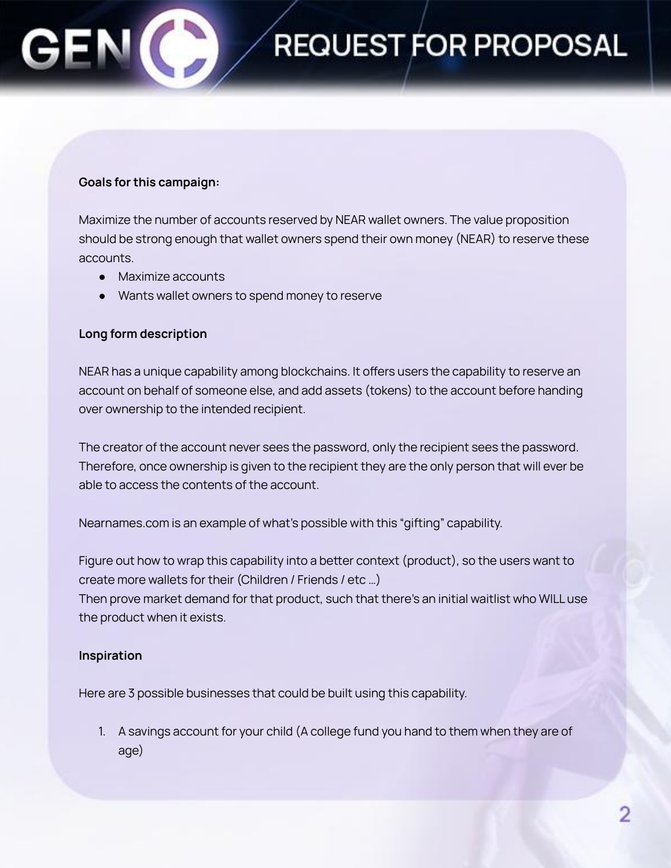#### **Goals for this campaign:**

Maximize the number of accounts reserved by NEAR wallet owners. The value proposition should be strong enough that wallet owners spend their own money (NEAR) to reserve these accounts.

**REQUEST FOR PROPOSAL** 

- Maximize accounts
- Wants wallet owners to spend money to reserve

#### **Long form description**

NEAR has a unique capability among blockchains. It offers users the capability to reserve an account on behalf of someone else, and add assets (tokens) to the account before handing over ownership to the intended recipient.

The creator of the account never sees the password, only the recipient sees the password. Therefore, once ownership is given to the recipient they are the only person that will ever be able to access the contents of the account.

Nearnames.com is an example of what's possible with this "gifting" capability.

Figure out how to wrap this capability into a better context (product), so the users want to create more wallets for their (Children / Friends / etc …)

Then prove market demand for that product, such that there's an initial waitlist who WILL use the product when it exists.

#### **Inspiration**

Here are 3 possible businesses that could be built using this capability.

1. A savings account for your child (A college fund you hand to them when they are of age)